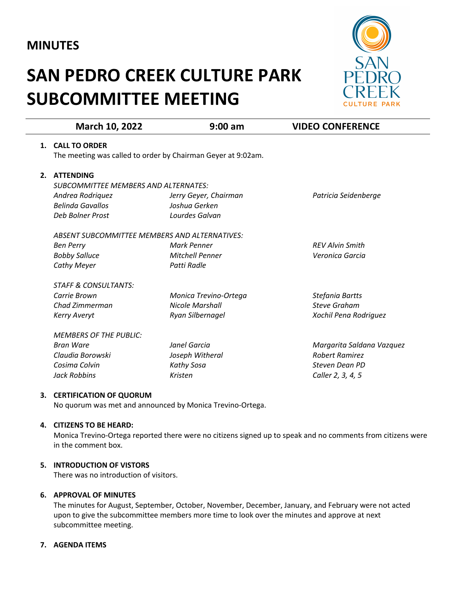# **MINUTES**

# **SAN PEDRO CREEK CULTURE PARK SUBCOMMITTEE MEETING**



|    | March 10, 2022                                               | $9:00$ am              | <b>VIDEO CONFERENCE</b>   |
|----|--------------------------------------------------------------|------------------------|---------------------------|
| 1. | <b>CALL TO ORDER</b>                                         |                        |                           |
|    | The meeting was called to order by Chairman Geyer at 9:02am. |                        |                           |
| 2. | <b>ATTENDING</b>                                             |                        |                           |
|    | SUBCOMMITTEE MEMBERS AND ALTERNATES:                         |                        |                           |
|    | Andrea Rodriquez                                             | Jerry Geyer, Chairman  | Patricia Seidenberge      |
|    | <b>Belinda Gavallos</b>                                      | Joshua Gerken          |                           |
|    | Deb Bolner Prost                                             | Lourdes Galvan         |                           |
|    | ABSENT SUBCOMMITTEE MEMBERS AND ALTERNATIVES:                |                        |                           |
|    | <b>Ben Perry</b>                                             | Mark Penner            | <b>REV Alvin Smith</b>    |
|    | <b>Bobby Salluce</b>                                         | <b>Mitchell Penner</b> | Veronica Garcia           |
|    | <b>Cathy Meyer</b>                                           | Patti Radle            |                           |
|    | <b>STAFF &amp; CONSULTANTS:</b>                              |                        |                           |
|    | Carrie Brown                                                 | Monica Trevino-Ortega  | Stefania Bartts           |
|    | Chad Zimmerman                                               | <b>Nicole Marshall</b> | <b>Steve Graham</b>       |
|    | <b>Kerry Averyt</b>                                          | Ryan Silbernagel       | Xochil Pena Rodriguez     |
|    | <b>MEMBERS OF THE PUBLIC:</b>                                |                        |                           |
|    | <b>Bran Ware</b>                                             | Janel Garcia           | Margarita Saldana Vazquez |
|    | Claudia Borowski                                             | Joseph Witheral        | <b>Robert Ramirez</b>     |
|    | Cosima Colvin                                                | Kathy Sosa             | Steven Dean PD            |
|    | Jack Robbins                                                 | Kristen                | Caller 2, 3, 4, 5         |

# **3. CERTIFICATION OF QUORUM**

No quorum was met and announced by Monica Trevino-Ortega.

# **4. CITIZENS TO BE HEARD:**

Monica Trevino-Ortega reported there were no citizens signed up to speak and no comments from citizens were in the comment box.

#### **5. INTRODUCTION OF VISTORS**

There was no introduction of visitors.

#### **6. APPROVAL OF MINUTES**

The minutes for August, September, October, November, December, January, and February were not acted upon to give the subcommittee members more time to look over the minutes and approve at next subcommittee meeting.

# **7. AGENDA ITEMS**